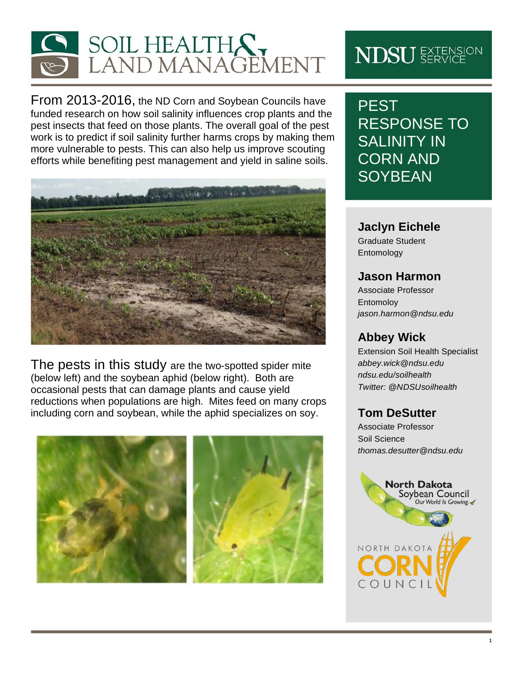

From 2013-2016, the ND Corn and Soybean Councils have funded research on how soil salinity influences crop plants and the pest insects that feed on those plants. The overall goal of the pest work is to predict if soil salinity further harms crops by making them more vulnerable to pests. This can also help us improve scouting efforts while benefiting pest management and yield in saline soils.



The pests in this study are the two-spotted spider mite (below left) and the soybean aphid (below right). Both are occasional pests that can damage plants and cause yield reductions when populations are high. Mites feed on many crops including corn and soybean, while the aphid specializes on soy.



# **NDSU** EXTENSION

PEST RESPONSE TO SALINITY IN CORN AND **SOYBEAN** 

### **Jaclyn Eichele**

Graduate Student Entomology

## **Jason Harmon**

Associate Professor Entomoloy *jason.harmon@ndsu.edu*

## **Abbey Wick**

Extension Soil Health Specialist *abbey.wick@ndsu.edu ndsu.edu/soilhealth Twitter: @NDSUsoilhealth*

# **Tom DeSutter**

Associate Professor Soil Science *thomas.desutter@ndsu.edu*